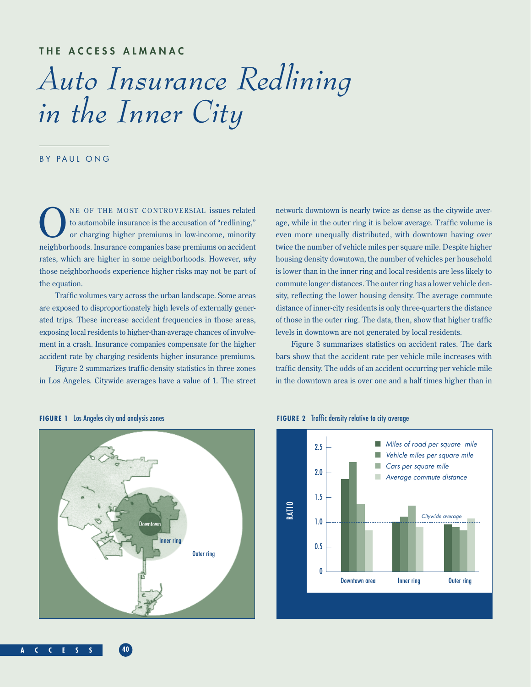## **THE ACCESS ALMANAC**

# *Auto Insurance Redlining in the Inner City*

## BY PAUL ONG

NE OF THE MOST CONTROVERSIAL issues related<br>to automobile insurance is the accusation of "redlining,"<br>or charging higher premiums in low-income, minority to automobile insurance is the accusation of "redlining," or charging higher premiums in low-income, minority neighborhoods. Insurance companies base premiums on accident rates, which are higher in some neighborhoods. However, *why* those neighborhoods experience higher risks may not be part of the equation.

Traffic volumes vary across the urban landscape. Some areas are exposed to disproportionately high levels of externally generated trips. These increase accident frequencies in those areas, exposing local residents to higher-than-average chances of involvement in a crash. Insurance companies compensate for the higher accident rate by charging residents higher insurance premiums.

Figure 2 summarizes traffic-density statistics in three zones in Los Angeles. Citywide averages have a value of 1. The street network downtown is nearly twice as dense as the citywide average, while in the outer ring it is below average. Traffic volume is even more unequally distributed, with downtown having over twice the number of vehicle miles per square mile. Despite higher housing density downtown, the number of vehicles per household is lower than in the inner ring and local residents are less likely to commute longer distances. The outer ring has a lower vehicle density, reflecting the lower housing density. The average commute distance of inner-city residents is only three-quarters the distance of those in the outer ring. The data, then, show that higher traffic levels in downtown are not generated by local residents.

Figure 3 summarizes statistics on accident rates. The dark bars show that the accident rate per vehicle mile increases with traffic density. The odds of an accident occurring per vehicle mile in the downtown area is over one and a half times higher than in





### **A C C E S S 40**